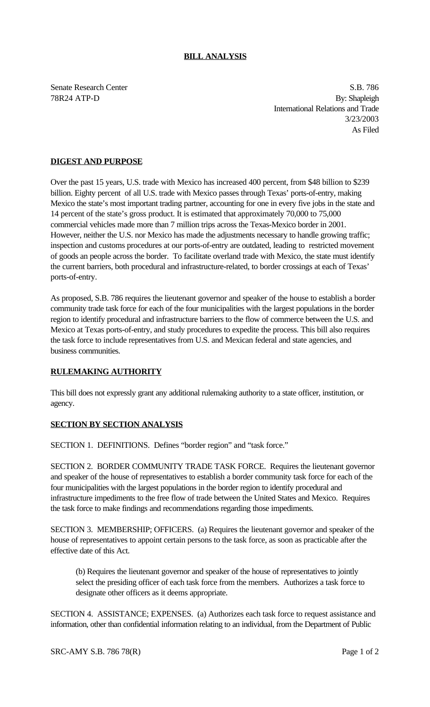## **BILL ANALYSIS**

Senate Research Center S.B. 786 78R24 ATP-D By: Shapleigh International Relations and Trade 3/23/2003 As Filed

## **DIGEST AND PURPOSE**

Over the past 15 years, U.S. trade with Mexico has increased 400 percent, from \$48 billion to \$239 billion. Eighty percent of all U.S. trade with Mexico passes through Texas' ports-of-entry, making Mexico the state's most important trading partner, accounting for one in every five jobs in the state and 14 percent of the state's gross product. It is estimated that approximately 70,000 to 75,000 commercial vehicles made more than 7 million trips across the Texas-Mexico border in 2001. However, neither the U.S. nor Mexico has made the adjustments necessary to handle growing traffic; inspection and customs procedures at our ports-of-entry are outdated, leading to restricted movement of goods an people across the border. To facilitate overland trade with Mexico, the state must identify the current barriers, both procedural and infrastructure-related, to border crossings at each of Texas' ports-of-entry.

As proposed, S.B. 786 requires the lieutenant governor and speaker of the house to establish a border community trade task force for each of the four municipalities with the largest populations in the border region to identify procedural and infrastructure barriers to the flow of commerce between the U.S. and Mexico at Texas ports-of-entry, and study procedures to expedite the process. This bill also requires the task force to include representatives from U.S. and Mexican federal and state agencies, and business communities.

## **RULEMAKING AUTHORITY**

This bill does not expressly grant any additional rulemaking authority to a state officer, institution, or agency.

## **SECTION BY SECTION ANALYSIS**

SECTION 1. DEFINITIONS. Defines "border region" and "task force."

SECTION 2. BORDER COMMUNITY TRADE TASK FORCE. Requires the lieutenant governor and speaker of the house of representatives to establish a border community task force for each of the four municipalities with the largest populations in the border region to identify procedural and infrastructure impediments to the free flow of trade between the United States and Mexico. Requires the task force to make findings and recommendations regarding those impediments.

SECTION 3. MEMBERSHIP; OFFICERS. (a) Requires the lieutenant governor and speaker of the house of representatives to appoint certain persons to the task force, as soon as practicable after the effective date of this Act.

(b) Requires the lieutenant governor and speaker of the house of representatives to jointly select the presiding officer of each task force from the members. Authorizes a task force to designate other officers as it deems appropriate.

SECTION 4. ASSISTANCE; EXPENSES. (a) Authorizes each task force to request assistance and information, other than confidential information relating to an individual, from the Department of Public